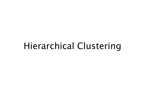#### Hierarchical Clustering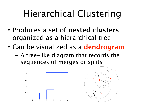# Hierarchical Clustering

- Produces a set of **nested clusters**  organized as a hierarchical tree
- Can be visualized as a **dendrogram**
	- A tree-like diagram that records the sequences of merges or splits



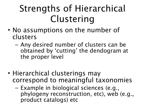# Strengths of Hierarchical Clustering

- No assumptions on the number of clusters
	- Any desired number of clusters can be obtained by 'cutting' the dendogram at the proper level
- Hierarchical clusterings may correspond to meaningful taxonomies
	- Example in biological sciences (e.g., phylogeny reconstruction, etc), web (e.g., product catalogs) etc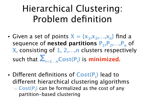# Hierarchical Clustering: Problem definition

- Given a set of points  $X = \{x_1, x_2, \ldots, x_n\}$  find a sequence of **nested partitions**  $P_1, P_2, ..., P_n$  of **X,** consisting of **1, 2,…,n** clusters respectively such that **Σi=1…nCost(Pi )** is **minimized.**
- Different definitions of Cost(P<sub>i</sub>) lead to diferent hierarchical clustering algorithms – **Cost(Pi )** can be formalized as the cost of any partition-based clustering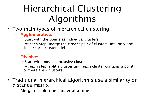# Hierarchical Clustering Algorithms

- Two main types of hierarchical clustering
	- **Agglomerative:** 
		- Start with the points as individual clusters
		- At each step, merge the closest pair of clusters until only one cluster (or **k** clusters) left
	- **Divisive:** 
		- Start with one, all-inclusive cluster
		- At each step, split a cluster until each cluster contains a point (or there are **k** clusters)
- Traditional hierarchical algorithms use a similarity or distance matrix
	- Merge or split one cluster at a time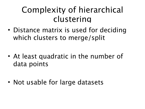#### Complexity of hierarchical clustering

- Distance matrix is used for deciding which clusters to merge/split
- At least quadratic in the number of data points
- Not usable for large datasets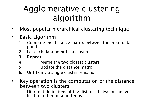#### Agglomerative clustering algorithm

- Most popular hierarchical clustering technique
- Basic algorithm
	- 1. Compute the distance matrix between the input data points
	- 2. Let each data point be a cluster
	- **3. Repeat**
	- 4. Merge the two closest clusters
	- 5. Update the distance matrix
	- **6. Until** only a single cluster remains
- Key operation is the computation of the distance between two clusters
	- Diferent definitions of the distance between clusters lead to diferent algorithms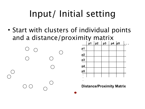# Input/ Initial setting

• Start with clusters of individual points and a distance/proximity matrix





**Distance/Proximity Matrix**

**.**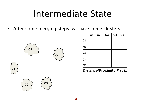## Intermediate State

• After some merging steps, we have some clusters



|                | C <sub>1</sub> | c2 | C <sub>3</sub> | C <sub>4</sub> | C5 |
|----------------|----------------|----|----------------|----------------|----|
| C <sub>1</sub> |                |    |                |                |    |
| C <sub>2</sub> |                |    |                |                |    |
| C <sub>3</sub> |                |    |                |                |    |
| C <sub>4</sub> |                |    |                |                |    |
| C <sub>5</sub> |                |    |                |                |    |

**Distance/Proximity Matrix**



**C1**

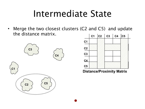## Intermediate State

• Merge the two closest clusters (C2 and C5) and update the distance matrix.





**Distance/Proximity Matrix**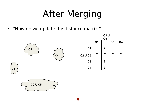# After Merging

• "How do we update the distance matrix?"

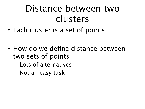# Distance between two clusters

- Each cluster is a set of points
- How do we define distance between two sets of points
	- Lots of alternatives
	- Not an easy task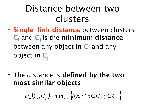## Distance between two clusters

• **Single-link distance** between clusters **C**<sub>i</sub> and **C**<sub>j</sub> is the **minimum distance** between any object in C<sub>i</sub> and any object in  $C_i$ 

• The distance is **defined by the two most similar objects**

$$
D_{sl}(C_i, C_j) = \min_{x, y} \{ (x, y) | x \in C_i, y \in C_j \}
$$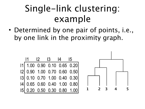# Single-link clustering: example

• Determined by one pair of points, i.e., by one link in the proximity graph.

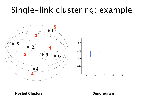#### Single-link clustering: example





#### **Nested Clusters Dendrogram**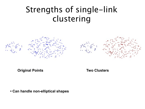#### Strengths of single-link clustering





**Original Points Two Clusters**

**• Can handle non-elliptical shapes**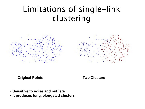#### Limitations of single-link clustering





**Original Points Two Clusters**

- **Sensitive to noise and outliers**
- **It produces long, elongated clusters**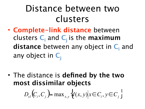## Distance between two clusters

• **Complete-link distance** between clusters  $C_i$  and  $C_j$  is the **maximum distance** between any object in C<sub>i</sub> and any object in C<sub>i</sub>

• The distance is **defined by the two most dissimilar objects**

 $D_{cl}(C_i, C_j)$ = max<sub>x,y</sub>  $\forall (x, y) | x \in C_i, y \in C_j$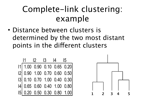#### Complete-link clustering: example

• Distance between clusters is determined by the two most distant points in the diferent clusters

|                                                                                                                                                         |  | $11$ $12$ $13$ $14$ $15$ |  |
|---------------------------------------------------------------------------------------------------------------------------------------------------------|--|--------------------------|--|
| 11 1.00 0.90 0.10 0.65 0.20<br>12 0.90 1.00 0.70 0.60 0.50<br>13 0.10 0.70 1.00 0.40 0.30<br>14 0.65 0.60 0.40 1.00 0.80<br>15 0.20 0.50 0.30 0.80 1.00 |  |                          |  |
|                                                                                                                                                         |  |                          |  |
|                                                                                                                                                         |  |                          |  |
|                                                                                                                                                         |  |                          |  |
|                                                                                                                                                         |  |                          |  |

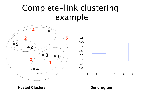#### Complete-link clustering: example





**Nested Clusters Dendrogram**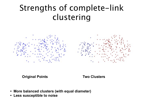#### Strengths of complete-link clustering



**Original Points Two Clusters**

- **More balanced clusters (with equal diameter)**
- **Less susceptible to noise**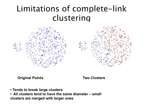#### Limitations of complete-link clustering



**Original Points Two Clusters**

- **Tends to break large clusters**
- **All clusters tend to have the same diameter small clusters are merged with larger ones**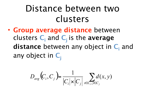## Distance between two clusters

• **Group average distance** between clusters  $C_i$  and  $C_j$  is the **average distance** between any object in C<sub>i</sub> and any object in C<sub>i</sub>

$$
D_{avg}\left(C_i, C_j\right) = \frac{1}{\left|C_i\right| \times \left|C_j\right|} \sum_{x \in C_i, y \in C_j} d(x, y)
$$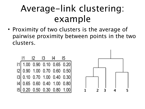# Average-link clustering: example

• Proximity of two clusters is the average of pairwise proximity between points in the two clusters.

|  | 11 12 13 14 15 |  |                                                                                                                                                         |
|--|----------------|--|---------------------------------------------------------------------------------------------------------------------------------------------------------|
|  |                |  | 11 1.00 0.90 0.10 0.65 0.20<br>12 0.90 1.00 0.70 0.60 0.50<br>13 0.10 0.70 1.00 0.40 0.30<br>14 0.65 0.60 0.40 1.00 0.80<br>15 0.20 0.50 0.30 0.80 1.00 |
|  |                |  |                                                                                                                                                         |
|  |                |  |                                                                                                                                                         |
|  |                |  |                                                                                                                                                         |
|  |                |  |                                                                                                                                                         |

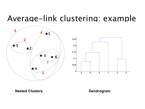#### Average-link clustering: example





**Nested Clusters Dendrogram**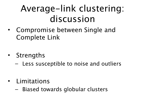# Average-link clustering: discussion

- Compromise between Single and Complete Link
- Strengths
	- Less susceptible to noise and outliers
- Limitations
	- Biased towards globular clusters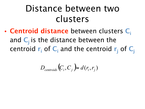## Distance between two clusters

• **Centroid distance** between clusters **Ci** and  $C_i$  is the distance between the centroid  $\mathbf{r}_i$  of  $\mathbf{C}_i$  and the centroid  $\mathbf{r}_j$  of  $\mathbf{C}_j$ 

$$
D_{\text{centroids}}(C_i, C_j) = d(r_i, r_j)
$$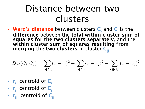## Distance between two clusters

• **Ward's distance** between clusters  $C_i$  and  $C_j$  is the **diference** between the **total within cluster sum of squares for the two clusters separately**, and the **within cluster sum of squares resulting from merging the two clusters** in cluster  $C_{ij}$ 

$$
D_W(C_i, C_j) = \sum_{x \in C_i} (x - r_i)^2 + \sum_{x \in C_j} (x - r_j)^2 - \sum_{x \in C_{ij}} (x - r_{ij})^2
$$

- **r**<sub>i</sub>: centroid of C<sub>i</sub>
- **rj** : centroid of **Cj**
- $\mathbf{r}_{\mathbf{ii}}$ : centroid of  $\mathbf{C}_{\mathbf{ii}}$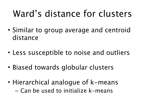# Ward's distance for clusters

- Similar to group average and centroid distance
- Less susceptible to noise and outliers
- Biased towards globular clusters
- Hierarchical analogue of k-means – Can be used to initialize k-means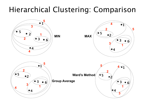#### Hierarchical Clustering: Comparison

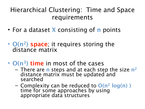#### Hierarchical Clustering: Time and Space requirements

- For a dataset **X** consisting of **n** points
- **O(n2) space**; it requires storing the distance matrix
- **O(n3) time** in most of the cases
	- There are **n** steps and at each step the size **n2** distance matrix must be updated and searched
	- Complexity can be reduced to **O(n2 log(n) )** time for some approaches by using appropriate data structures